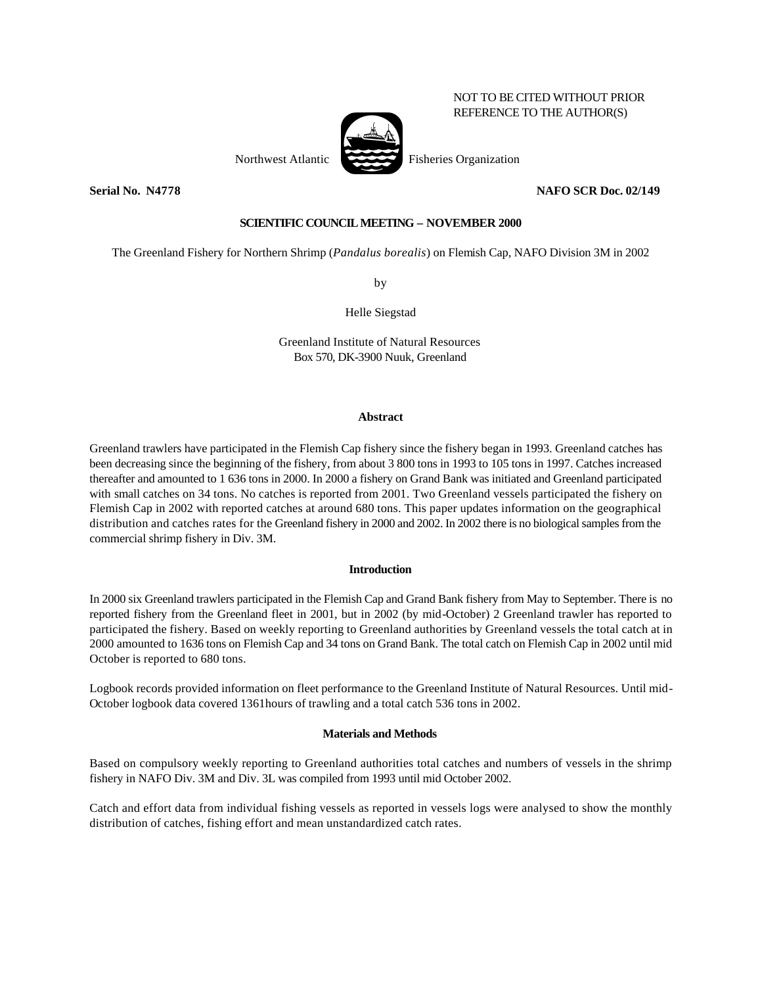Northwest Atlantic Fisheries Organization

**Serial No. N4778 NAFO SCR Doc. 02/149**

NOT TO BE CITED WITHOUT PRIOR REFERENCE TO THE AUTHOR(S)

# **SCIENTIFIC COUNCIL MEETING – NOVEMBER 2000**

The Greenland Fishery for Northern Shrimp (*Pandalus borealis*) on Flemish Cap, NAFO Division 3M in 2002

by

Helle Siegstad

Greenland Institute of Natural Resources Box 570, DK-3900 Nuuk, Greenland

#### **Abstract**

Greenland trawlers have participated in the Flemish Cap fishery since the fishery began in 1993. Greenland catches has been decreasing since the beginning of the fishery, from about 3 800 tons in 1993 to 105 tons in 1997. Catches increased thereafter and amounted to 1 636 tons in 2000. In 2000 a fishery on Grand Bank was initiated and Greenland participated with small catches on 34 tons. No catches is reported from 2001. Two Greenland vessels participated the fishery on Flemish Cap in 2002 with reported catches at around 680 tons. This paper updates information on the geographical distribution and catches rates for the Greenland fishery in 2000 and 2002. In 2002 there is no biological samples from the commercial shrimp fishery in Div. 3M.

### **Introduction**

In 2000 six Greenland trawlers participated in the Flemish Cap and Grand Bank fishery from May to September. There is no reported fishery from the Greenland fleet in 2001, but in 2002 (by mid-October) 2 Greenland trawler has reported to participated the fishery. Based on weekly reporting to Greenland authorities by Greenland vessels the total catch at in 2000 amounted to 1636 tons on Flemish Cap and 34 tons on Grand Bank. The total catch on Flemish Cap in 2002 until mid October is reported to 680 tons.

Logbook records provided information on fleet performance to the Greenland Institute of Natural Resources. Until mid-October logbook data covered 1361hours of trawling and a total catch 536 tons in 2002.

### **Materials and Methods**

Based on compulsory weekly reporting to Greenland authorities total catches and numbers of vessels in the shrimp fishery in NAFO Div. 3M and Div. 3L was compiled from 1993 until mid October 2002.

Catch and effort data from individual fishing vessels as reported in vessels logs were analysed to show the monthly distribution of catches, fishing effort and mean unstandardized catch rates.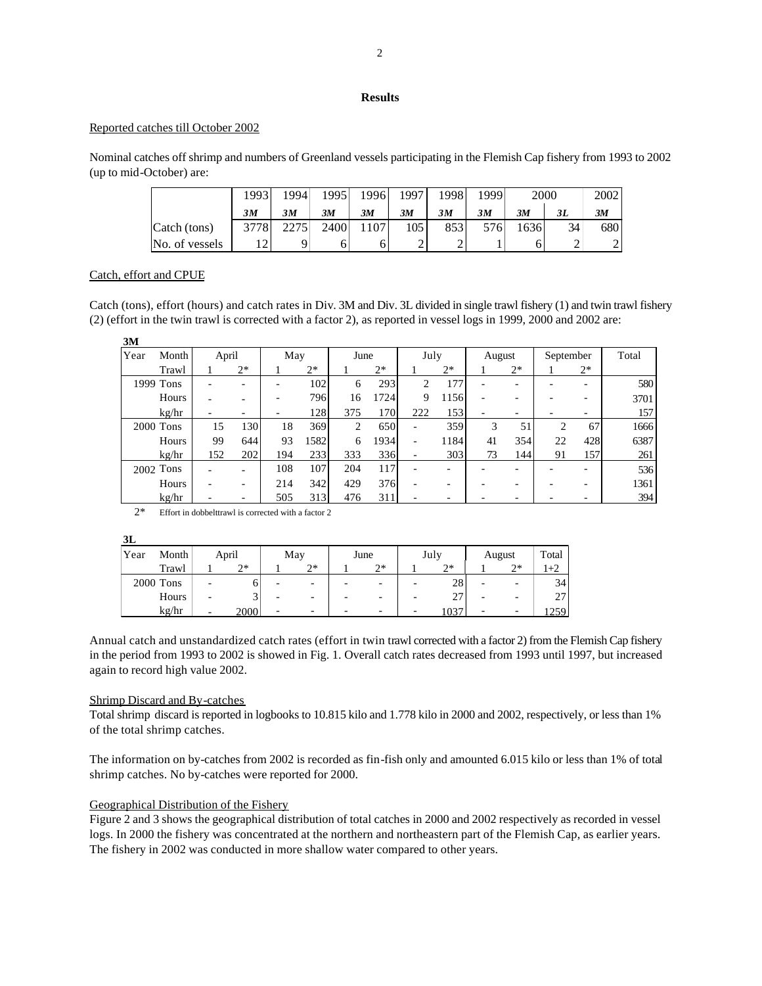# **Results**

#### Reported catches till October 2002

Nominal catches off shrimp and numbers of Greenland vessels participating in the Flemish Cap fishery from 1993 to 2002 (up to mid-October) are:

|                | 1993          | 1994 | 1995 | 1996 | 1997 | 1998 | 1999 | 2000 |    | 2002                     |
|----------------|---------------|------|------|------|------|------|------|------|----|--------------------------|
|                | 3M            | 3M   | 3M   | 3M   | 3M   | 3M   | 3M   | 3M   | 3L | 3M                       |
| Catch (tons)   | 3778          | 2275 | 2400 | 1107 | 105  | 8531 | 576  | 636  | 34 | 6801                     |
| No. of vessels | $\sim$<br>- ∠ |      |      |      |      | -    |      |      | ∸  | $\sim$<br>$\overline{ }$ |

## Catch, effort and CPUE

Catch (tons), effort (hours) and catch rates in Div. 3M and Div. 3L divided in single trawl fishery (1) and twin trawl fishery (2) (effort in the twin trawl is corrected with a factor 2), as reported in vessel logs in 1999, 2000 and 2002 are:

| 3M   |           |       |                          |     |      |      |      |                          |      |        |      |           |                          |       |
|------|-----------|-------|--------------------------|-----|------|------|------|--------------------------|------|--------|------|-----------|--------------------------|-------|
| Year | Month     | April |                          | May |      | June |      | July                     |      | August |      | September |                          | Total |
|      | Trawl     |       | $2*$                     |     | $2*$ |      | $2*$ |                          | $2*$ |        | $2*$ |           | $2*$                     |       |
|      | 1999 Tons |       | $\overline{\phantom{0}}$ |     | 102  | 6    | 293  | 2                        | 177  |        | -    |           | $\overline{\phantom{0}}$ | 580   |
|      | Hours     |       | -                        |     | 796  | 16   | 1724 | 9                        | 1156 |        | -    |           | -                        | 3701  |
|      | kg/hr     |       | -                        |     | 128  | 375  | 170  | 222                      | 153  |        | -    |           | -                        | 157   |
|      | 2000 Tons | 15    | 130                      | 18  | 369  | 2    | 650  | $\overline{\phantom{0}}$ | 359  | 3      | 51   | 2         | 67                       | 1666  |
|      | Hours     | 99    | 644                      | 93  | 1582 | 6    | 1934 | $\overline{\phantom{0}}$ | 1184 | 41     | 354  | 22        | 428                      | 6387  |
|      | kg/hr     | 152   | 202                      | 194 | 233  | 333  | 336  | $\overline{\phantom{0}}$ | 303  | 73     | 144  | 91        | 157                      | 261   |
|      | 2002 Tons |       | $\overline{\phantom{0}}$ | 108 | 107  | 204  | 117  |                          |      |        |      |           |                          | 536   |
|      | Hours     |       | $\overline{\phantom{a}}$ | 214 | 342  | 429  | 376  |                          |      |        | -    |           | -                        | 1361  |
|      | kg/hr     |       | -                        | 505 | 313  | 476  | 311  |                          |      |        |      |           |                          | 394   |

2\* Effort in dobbelttrawl is corrected with a factor 2

| ٠ |
|---|
|---|

| Year | Month     | April                    |      | May |    |                          | June                     | July | August |      | Total                          |
|------|-----------|--------------------------|------|-----|----|--------------------------|--------------------------|------|--------|------|--------------------------------|
|      | Trawl     |                          | つ*   |     | つ* |                          | つ*                       | つ*   |        | $2*$ | 1+2                            |
|      | 2000 Tons |                          |      |     |    | -                        | -                        | 28   |        |      | 34                             |
|      | Hours     | $\overline{\phantom{0}}$ |      | -   | -  | $\overline{\phantom{0}}$ | $\overline{\phantom{0}}$ | 27   | -      | -    | າາ<br>$\overline{\phantom{a}}$ |
|      | kg/hr     | $\overline{\phantom{0}}$ | 2000 |     |    |                          |                          | 1037 |        | -    | 1259'                          |

Annual catch and unstandardized catch rates (effort in twin trawl corrected with a factor 2) from the Flemish Cap fishery in the period from 1993 to 2002 is showed in Fig. 1. Overall catch rates decreased from 1993 until 1997, but increased again to record high value 2002.

### Shrimp Discard and By-catches

Total shrimp discard is reported in logbooks to 10.815 kilo and 1.778 kilo in 2000 and 2002, respectively, or less than 1% of the total shrimp catches.

The information on by-catches from 2002 is recorded as fin-fish only and amounted 6.015 kilo or less than 1% of total shrimp catches. No by-catches were reported for 2000.

### Geographical Distribution of the Fishery

Figure 2 and 3 shows the geographical distribution of total catches in 2000 and 2002 respectively as recorded in vessel logs. In 2000 the fishery was concentrated at the northern and northeastern part of the Flemish Cap, as earlier years. The fishery in 2002 was conducted in more shallow water compared to other years.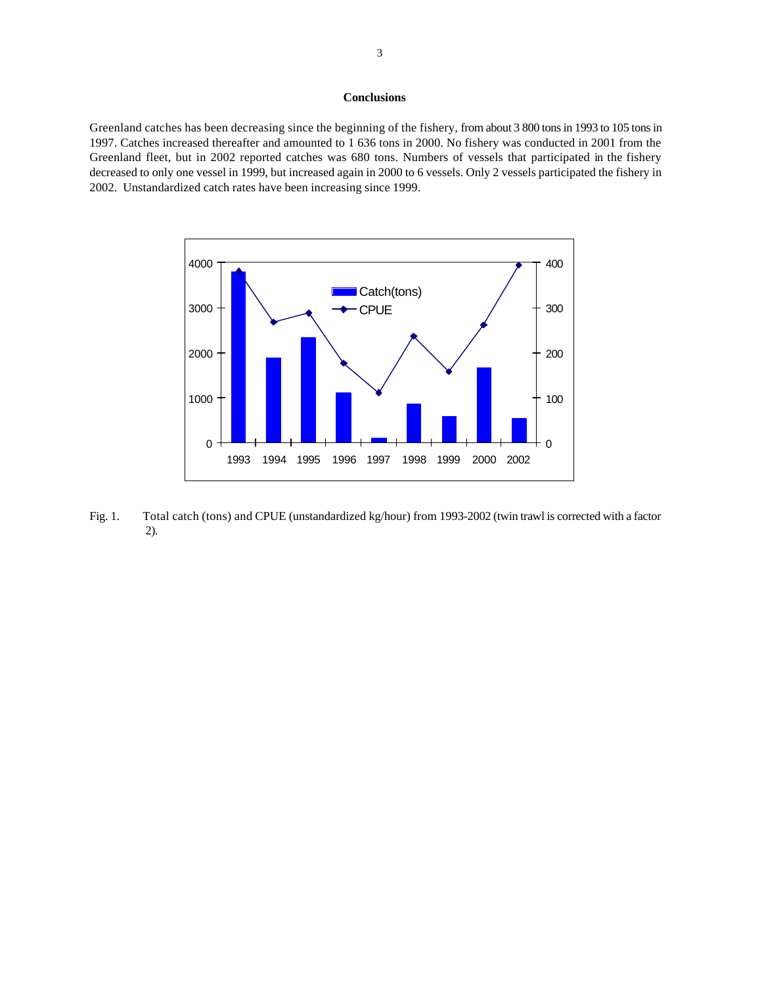### **Conclusions**

Greenland catches has been decreasing since the beginning of the fishery, from about 3 800 tons in 1993 to 105 tons in 1997. Catches increased thereafter and amounted to 1 636 tons in 2000. No fishery was conducted in 2001 from the Greenland fleet, but in 2002 reported catches was 680 tons. Numbers of vessels that participated in the fishery decreased to only one vessel in 1999, but increased again in 2000 to 6 vessels. Only 2 vessels participated the fishery in 2002. Unstandardized catch rates have been increasing since 1999.



Fig. 1. Total catch (tons) and CPUE (unstandardized kg/hour) from 1993-2002 (twin trawl is corrected with a factor 2).